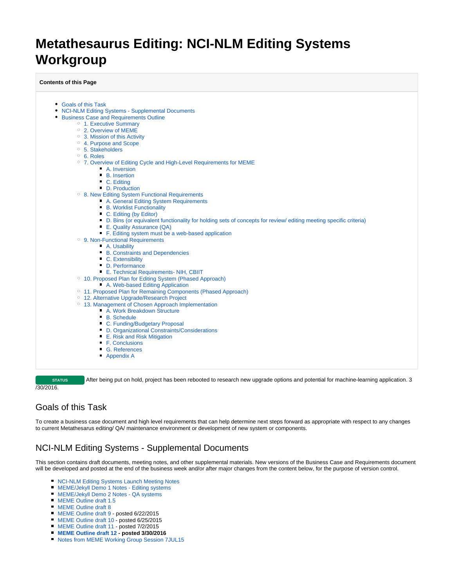# **Metathesaurus Editing: NCI-NLM Editing Systems Workgroup**

**Contents of this Page**

- [Goals of this Task](#page-0-0)
- [NCI-NLM Editing Systems Supplemental Documents](#page-0-1)
- **[Business Case and Requirements Outline](#page-1-0)** 
	- <sup>o</sup> [1. Executive Summary](#page-1-1)
	- [2. Overview of MEME](#page-1-2)
	- [3. Mission of this Activity](#page-2-0)
	- [4. Purpose and Scope](#page-2-1)
	- <sup>o</sup> [5. Stakeholders](#page-2-2)
	- [6. Roles](#page-3-0)
	- [7. Overview of Editing Cycle and High-Level Requirements for MEME](#page-3-1)
		- [A. Inversion](#page-3-2)
		- **B.** Insertion
		- [C. Editing](#page-4-1)
		- [D. Production](#page-4-2)
	- <sup>o</sup> [8. New Editing System Functional Requirements](#page-5-0)
		- **[A. General Editing System Requirements](#page-5-1)** 
			- **[B. Worklist Functionality](#page-6-0)**
			- [C. Editing \(by Editor\)](#page-6-1)
			- [D. Bins \(or equivalent functionality for holding sets of concepts for review/ editing meeting specific criteria\)](#page-6-2)
			- [E. Quality Assurance \(QA\)](#page-7-0)
			- [F. Editing system must be a web-based application](#page-7-1)
	- [9. Non-Functional Requirements](#page-8-0)
		- [A. Usability](#page-8-1)
		- [B. Constraints and Dependencies](#page-8-2)
		- [C. Extensibility](#page-8-3)
		- [D. Performance](#page-8-4)
		- **[E. Technical Requirements- NIH, CBIIT](#page-8-5)**
	- <sup>o</sup> [10. Proposed Plan for Editing System \(Phased Approach\)](#page-8-6)
		- **[A. Web-based Editing Application](#page-8-7)**
	- <sup>o</sup> [11. Proposed Plan for Remaining Components \(Phased Approach\)](#page-9-0)
	- [12. Alternative Upgrade/Research Project](#page-11-0)
	- [13. Management of Chosen Approach Implementation](#page-11-1)
	- [A. Work Breakdown Structure](#page-11-2)
		- [B. Schedule](#page-12-0)
		- **[C. Funding/Budgetary Proposal](#page-12-1)**
		- [D. Organizational Constraints/Considerations](#page-12-2)
		- **[E. Risk and Risk Mitigation](#page-12-3)**
		- [F. Conclusions](#page-12-4)
		- [G. References](#page-12-5)
		- **[Appendix A](#page-12-6)**

**STATUS** After being put on hold, project has been rebooted to research new upgrade options and potential for machine-learning application. 3 /30/2016.

# <span id="page-0-0"></span>Goals of this Task

To create a business case document and high level requirements that can help determine next steps forward as appropriate with respect to any changes to current Metathesarus editing/ QA/ maintenance environment or development of new system or components.

# <span id="page-0-1"></span>NCI-NLM Editing Systems - Supplemental Documents

This section contains draft documents, meeting notes, and other supplemental materials. New versions of the Business Case and Requirements document will be developed and posted at the end of the business week and/or after major changes from the content below, for the purpose of version control.

- **[NCI-NLM Editing Systems Launch Meeting Notes](https://wiki.nci.nih.gov/download/attachments/265716257/MEME%20launch%20meeting%20notes%2022DEC14.docx?version=1&modificationDate=1422470014000&api=v2)**
- **[MEME/Jekyll Demo 1 Notes Editing systems](https://wiki.nci.nih.gov/download/attachments/265716257/MEME%20Demo%20notes%2013JAN15%20V3b.docx?version=1&modificationDate=1422481870000&api=v2)**
- **[MEME/Jekyll Demo 2 Notes QA systems](https://wiki.nci.nih.gov/download/attachments/265716257/MEME%20Demo%202%20notes%204FEB15%20v3.docx?version=1&modificationDate=1424793527000&api=v2)**
- **[MEME Outline draft 1.5](https://wiki.nci.nih.gov/download/attachments/265716257/MEME%20Outline%20draft%201.5.docx?version=1&modificationDate=1424794402000&api=v2)**
- **[MEME Outline draft 8](https://wiki.nci.nih.gov/download/attachments/265716257/MEME%20Outline%20draft%208.docx?version=1&modificationDate=1432837006000&api=v2)**
- [MEME Outline draft 9](https://wiki.nci.nih.gov/download/attachments/265716257/MEME%20Outline%20draft%209.doc?version=1&modificationDate=1434980313000&api=v2)  posted 6/22/2015
- **[MEME Outline draft 10](https://wiki.nci.nih.gov/download/attachments/265716257/MEME%20Outline%20draft%2010.doc?version=1&modificationDate=1435254254000&api=v2)  posted 6/25/2015**
- [MEME Outline draft 11](https://wiki.nci.nih.gov/download/attachments/265716257/MEME%20Outline%20draft%2011.doc?version=1&modificationDate=1435850342000&api=v2)  posted 7/2/2015
- **[MEME Outline draft 12](https://wiki.nci.nih.gov/download/attachments/265716257/MEME%20Outline%20draft%2012.doc?version=1&modificationDate=1459350023000&api=v2)  posted 3/30/2016**
- **[Notes from MEME Working Group Session 7JUL15](https://wiki.nci.nih.gov/download/attachments/265716257/Notes%20from%20MEME%20Working%20Group%20Session%207JUL15%20v2.docx?version=1&modificationDate=1438881262000&api=v2)**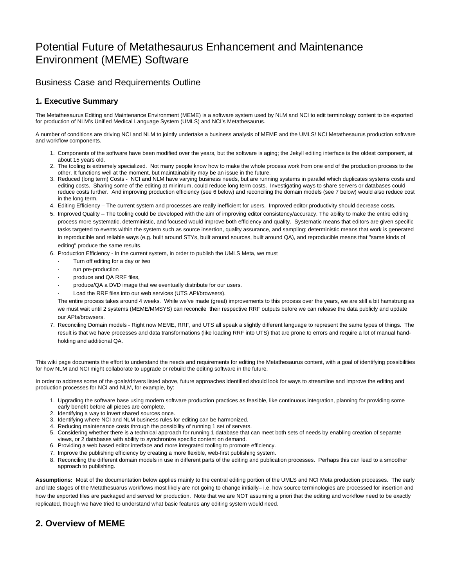# Potential Future of Metathesaurus Enhancement and Maintenance Environment (MEME) Software

# <span id="page-1-0"></span>Business Case and Requirements Outline

# <span id="page-1-1"></span>**1. Executive Summary**

The Metathesaurus Editing and Maintenance Environment (MEME) is a software system used by NLM and NCI to edit terminology content to be exported for production of NLM's Unified Medical Language System (UMLS) and NCI's Metathesaurus.

A number of conditions are driving NCI and NLM to jointly undertake a business analysis of MEME and the UMLS/ NCI Metathesaurus production software and workflow components.

- 1. Components of the software have been modified over the years, but the software is aging; the Jekyll editing interface is the oldest component, at about 15 years old.
- 2. The tooling is extremely specialized. Not many people know how to make the whole process work from one end of the production process to the other. It functions well at the moment, but maintainability may be an issue in the future.
- 3. Reduced (long term) Costs NCI and NLM have varying business needs, but are running systems in parallel which duplicates systems costs and editing costs. Sharing some of the editing at minimum, could reduce long term costs. Investigating ways to share servers or databases could reduce costs further. And improving production efficiency (see 6 below) and reconciling the domain models (see 7 below) would also reduce cost in the long term.
- 4. Editing Efficiency The current system and processes are really inefficient for users. Improved editor productivity should decrease costs.
- 5. Improved Quality The tooling could be developed with the aim of improving editor consistency/accuracy. The ability to make the entire editing process more systematic, deterministic, and focused would improve both efficiency and quality. Systematic means that editors are given specific tasks targeted to events within the system such as source insertion, quality assurance, and sampling; deterministic means that work is generated in reproducible and reliable ways (e.g. built around STYs, built around sources, built around QA), and reproducible means that "same kinds of editing" produce the same results.
- 6. Production Efficiency In the current system, in order to publish the UMLS Meta, we must
	- Turn off editing for a day or two
	- run pre-production
	- produce and QA RRF files,
	- produce/QA a DVD image that we eventually distribute for our users.
	- Load the RRF files into our web services (UTS API/browsers).

The entire process takes around 4 weeks. While we've made (great) improvements to this process over the years, we are still a bit hamstrung as we must wait until 2 systems (MEME/MMSYS) can reconcile their respective RRF outputs before we can release the data publicly and update our APIs/browsers.

7. Reconciling Domain models - Right now MEME, RRF, and UTS all speak a slightly different language to represent the same types of things. The result is that we have processes and data transformations (like loading RRF into UTS) that are prone to errors and require a lot of manual handholding and additional QA.

This wiki page documents the effort to understand the needs and requirements for editing the Metathesaurus content, with a goal of identifying possibilities for how NLM and NCI might collaborate to upgrade or rebuild the editing software in the future.

In order to address some of the goals/drivers listed above, future approaches identified should look for ways to streamline and improve the editing and production processes for NCI and NLM, for example, by:

- 1. Upgrading the software base using modern software production practices as feasible, like continuous integration, planning for providing some early benefit before all pieces are complete.
- 2. Identifying a way to invert shared sources once.
- 3. Identifying where NCI and NLM business rules for editing can be harmonized.
- 4. Reducing maintenance costs through the possibility of running 1 set of servers.
- 5. Considering whether there is a technical approach for running 1 database that can meet both sets of needs by enabling creation of separate views, or 2 databases with ability to synchronize specific content on demand.
- 6. Providing a web based editor interface and more integrated tooling to promote efficiency.
- 7. Improve the publishing efficiency by creating a more flexible, web-first publishing system.
- 8. Reconciling the different domain models in use in different parts of the editing and publication processes. Perhaps this can lead to a smoother approach to publishing.

**Assumptions:** Most of the documentation below applies mainly to the central editing portion of the UMLS and NCI Meta production processes. The early and late stages of the Metathesuarus workflows most likely are not going to change initially– i.e. how source terminologies are processed for insertion and how the exported files are packaged and served for production. Note that we are NOT assuming a priori that the editing and workflow need to be exactly replicated, though we have tried to understand what basic features any editing system would need.

# <span id="page-1-2"></span>**2. Overview of MEME**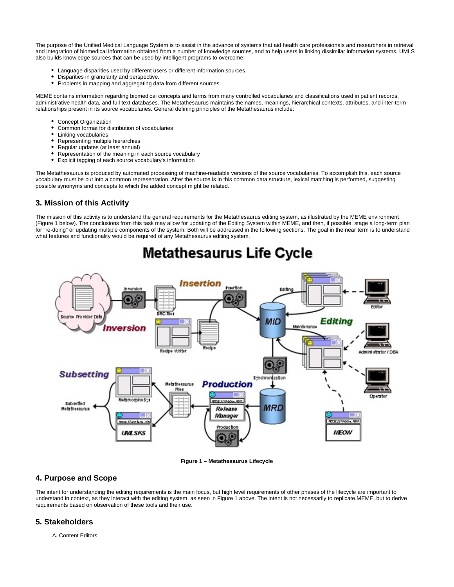The purpose of the Unified Medical Language System is to assist in the advance of systems that aid health care professionals and researchers in retrieval and integration of biomedical information obtained from a number of knowledge sources, and to help users in linking dissimilar information systems. UMLS also builds knowledge sources that can be used by intelligent programs to overcome:

- Language disparities used by different users or different information sources.
- Disparities in granularity and perspective.
- Problems in mapping and aggregating data from different sources.

MEME contains information regarding biomedical concepts and terms from many controlled vocabularies and classifications used in patient records, administrative health data, and full text databases. The Metathesaurus maintains the names, meanings, hierarchical contexts, attributes, and inter-term relationships present in its source vocabularies. General defining principles of the Metathesaurus include:

- Concept Organization
- Common format for distribution of vocabularies
- Linking vocabularies  $\bullet$
- Representing multiple hierarchies  $\bullet$
- Regular updates (at least annual)
- Representation of the meaning in each source vocabulary  $\bullet$
- Explicit tagging of each source vocabulary's information  $\bullet$

The Metathesaurus is produced by automated processing of machine-readable versions of the source vocabularies. To accomplish this, each source vocabulary must be put into a common representation. After the source is in this common data structure, lexical matching is performed, suggesting possible synonyms and concepts to which the added concept might be related.

## <span id="page-2-0"></span>**3. Mission of this Activity**

The mission of this activity is to understand the general requirements for the Metathesaurus editing system, as illustrated by the MEME environment (Figure 1 below). The conclusions from this task may allow for updating of the Editing System within MEME, and then, if possible, stage a long-term plan for "re-doing" or updating multiple components of the system. Both will be addressed in the following sections. The goal in the near term is to understand what features and functionality would be required of any Metathesaurus editing system.



# **Metathesaurus Life Cycle**

#### **Figure 1 – Metathesaurus Lifecycle**

## <span id="page-2-1"></span>**4. Purpose and Scope**

The intent for understanding the editing requirements is the main focus, but high level requirements of other phases of the lifecycle are important to understand in context, as they interact with the editing system, as seen in Figure 1 above. The intent is not necessarily to replicate MEME, but to derive requirements based on observation of these tools and their use.

# <span id="page-2-2"></span>**5. Stakeholders**

A. Content Editors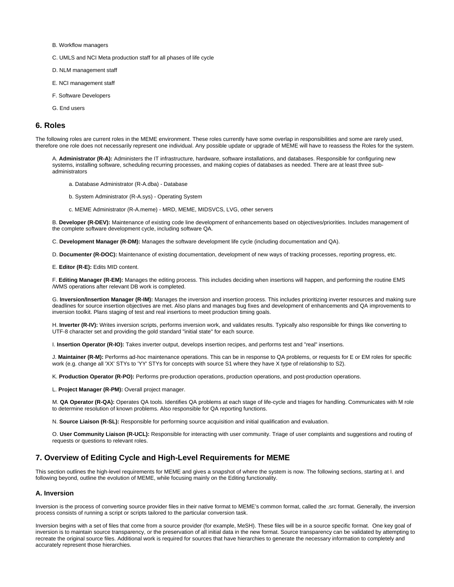- B. Workflow managers
- C. UMLS and NCI Meta production staff for all phases of life cycle
- D. NLM management staff
- E. NCI management staff
- F. Software Developers
- G. End users

#### <span id="page-3-0"></span>**6. Roles**

The following roles are current roles in the MEME environment. These roles currently have some overlap in responsibilities and some are rarely used, therefore one role does not necessarily represent one individual. Any possible update or upgrade of MEME will have to reassess the Roles for the system.

A. **Administrator (R-A):** Administers the IT infrastructure, hardware, software installations, and databases. Responsible for configuring new systems, installing software, scheduling recurring processes, and making copies of databases as needed. There are at least three subadministrators

- a. Database Administrator (R-A.dba) Database
- b. System Administrator (R-A.sys) Operating System
- c. MEME Administrator (R-A.meme) MRD, MEME, MIDSVCS, LVG, other servers

B. **Developer (R-DEV):** Maintenance of existing code line development of enhancements based on objectives/priorities. Includes management of the complete software development cycle, including software QA.

C. **Development Manager (R-DM):** Manages the software development life cycle (including documentation and QA).

D. **Documenter (R-DOC):** Maintenance of existing documentation, development of new ways of tracking processes, reporting progress, etc.

E. **Editor (R-E):** Edits MID content.

F. **Editing Manager (R-EM):** Manages the editing process. This includes deciding when insertions will happen, and performing the routine EMS /WMS operations after relevant DB work is completed.

G. **Inversion/Insertion Manager (R-IM):** Manages the inversion and insertion process. This includes prioritizing inverter resources and making sure deadlines for source insertion objectives are met. Also plans and manages bug fixes and development of enhancements and QA improvements to inversion toolkit. Plans staging of test and real insertions to meet production timing goals.

H. **Inverter (R-IV):** Writes inversion scripts, performs inversion work, and validates results. Typically also responsible for things like converting to UTF-8 character set and providing the gold standard "initial state" for each source.

I. **Insertion Operator (R-IO):** Takes inverter output, develops insertion recipes, and performs test and "real" insertions.

J. **Maintainer (R-M):** Performs ad-hoc maintenance operations. This can be in response to QA problems, or requests for E or EM roles for specific work (e.g. change all 'XX' STYs to 'YY' STYs for concepts with source S1 where they have X type of relationship to S2).

K. **Production Operator (R-PO):** Performs pre-production operations, production operations, and post-production operations.

L. **Project Manager (R-PM):** Overall project manager.

M. **QA Operator (R-QA):** Operates QA tools. Identifies QA problems at each stage of life-cycle and triages for handling. Communicates with M role to determine resolution of known problems. Also responsible for QA reporting functions.

N. **Source Liaison (R-SL):** Responsible for performing source acquisition and initial qualification and evaluation.

O. **User Community Liaison (R-UCL):** Responsible for interacting with user community. Triage of user complaints and suggestions and routing of requests or questions to relevant roles.

# <span id="page-3-1"></span>**7. Overview of Editing Cycle and High-Level Requirements for MEME**

This section outlines the high-level requirements for MEME and gives a snapshot of where the system is now. The following sections, starting at I. and following beyond, outline the evolution of MEME, while focusing mainly on the Editing functionality.

#### <span id="page-3-2"></span>**A. Inversion**

Inversion is the process of converting source provider files in their native format to MEME's common format, called the .src format. Generally, the inversion process consists of running a script or scripts tailored to the particular conversion task.

Inversion begins with a set of files that come from a source provider (for example, MeSH). These files will be in a source specific format. One key goal of inversion is to maintain source transparency, or the preservation of all initial data in the new format. Source transparency can be validated by attempting to recreate the original source files. Additional work is required for sources that have hierarchies to generate the necessary information to completely and accurately represent those hierarchies.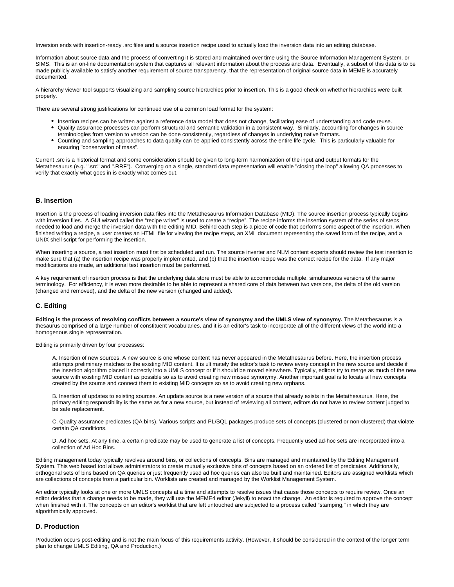Inversion ends with insertion-ready .src files and a source insertion recipe used to actually load the inversion data into an editing database.

Information about source data and the process of converting it is stored and maintained over time using the Source Information Management System, or SIMS. This is an on-line documentation system that captures all relevant information about the process and data. Eventually, a subset of this data is to be made publicly available to satisfy another requirement of source transparency, that the representation of original source data in MEME is accurately documented.

A hierarchy viewer tool supports visualizing and sampling source hierarchies prior to insertion. This is a good check on whether hierarchies were built properly.

There are several strong justifications for continued use of a common load format for the system:

- Insertion recipes can be written against a reference data model that does not change, facilitating ease of understanding and code reuse.
- Quality assurance processes can perform structural and semantic validation in a consistent way. Similarly, accounting for changes in source terminologies from version to version can be done consistently, regardless of changes in underlying native formats.
- Counting and sampling approaches to data quality can be applied consistently across the entire life cycle. This is particularly valuable for ensuring "conservation of mass".

Current .src is a historical format and some consideration should be given to long-term harmonization of the input and output formats for the Metathesaurus (e.g. ".src" and ".RRF"). Converging on a single, standard data representation will enable "closing the loop" allowing QA processes to verify that exactly what goes in is exactly what comes out.

### <span id="page-4-0"></span>**B. Insertion**

Insertion is the process of loading inversion data files into the Metathesaurus Information Database (MID). The source insertion process typically begins with inversion files. A GUI wizard called the "recipe writer" is used to create a "recipe". The recipe informs the insertion system of the series of steps needed to load and merge the inversion data with the editing MID. Behind each step is a piece of code that performs some aspect of the insertion. When finished writing a recipe, a user creates an HTML file for viewing the recipe steps, an XML document representing the saved form of the recipe, and a UNIX shell script for performing the insertion.

When inserting a source, a test insertion must first be scheduled and run. The source inverter and NLM content experts should review the test insertion to make sure that (a) the insertion recipe was properly implemented, and (b) that the insertion recipe was the correct recipe for the data. If any major modifications are made, an additional test insertion must be performed.

A key requirement of insertion process is that the underlying data store must be able to accommodate multiple, simultaneous versions of the same terminology. For efficiency, it is even more desirable to be able to represent a shared core of data between two versions, the delta of the old version (changed and removed), and the delta of the new version (changed and added).

#### <span id="page-4-1"></span>**C. Editing**

**Editing is the process of resolving conflicts between a source's view of synonymy and the UMLS view of synonymy.** The Metathesaurus is a thesaurus comprised of a large number of constituent vocabularies, and it is an editor's task to incorporate all of the different views of the world into a homogenous single representation.

Editing is primarily driven by four processes:

A. Insertion of new sources. A new source is one whose content has never appeared in the Metathesaurus before. Here, the insertion process attempts preliminary matches to the existing MID content. It is ultimately the editor's task to review every concept in the new source and decide if the insertion algorithm placed it correctly into a UMLS concept or if it should be moved elsewhere. Typically, editors try to merge as much of the new source with existing MID content as possible so as to avoid creating new missed synonymy. Another important goal is to locate all new concepts created by the source and connect them to existing MID concepts so as to avoid creating new orphans.

B. Insertion of updates to existing sources. An update source is a new version of a source that already exists in the Metathesaurus. Here, the primary editing responsibility is the same as for a new source, but instead of reviewing all content, editors do not have to review content judged to be safe replacement.

C. Quality assurance predicates (QA bins). Various scripts and PL/SQL packages produce sets of concepts (clustered or non-clustered) that violate certain QA conditions.

D. Ad hoc sets. At any time, a certain predicate may be used to generate a list of concepts. Frequently used ad-hoc sets are incorporated into a collection of Ad Hoc Bins.

Editing management today typically revolves around bins, or collections of concepts. Bins are managed and maintained by the Editing Management System. This web based tool allows administrators to create mutually exclusive bins of concepts based on an ordered list of predicates. Additionally, orthogonal sets of bins based on QA queries or just frequently used ad hoc queries can also be built and maintained. Editors are assigned worklists which are collections of concepts from a particular bin. Worklists are created and managed by the Worklist Management System.

An editor typically looks at one or more UMLS concepts at a time and attempts to resolve issues that cause those concepts to require review. Once an editor decides that a change needs to be made, they will use the MEME4 editor (Jekyll) to enact the change. An editor is required to approve the concept when finished with it. The concepts on an editor's worklist that are left untouched are subjected to a process called "stamping," in which they are algorithmically approved.

#### <span id="page-4-2"></span>**D. Production**

Production occurs post-editing and is not the main focus of this requirements activity. (However, it should be considered in the context of the longer term plan to change UMLS Editing, QA and Production.)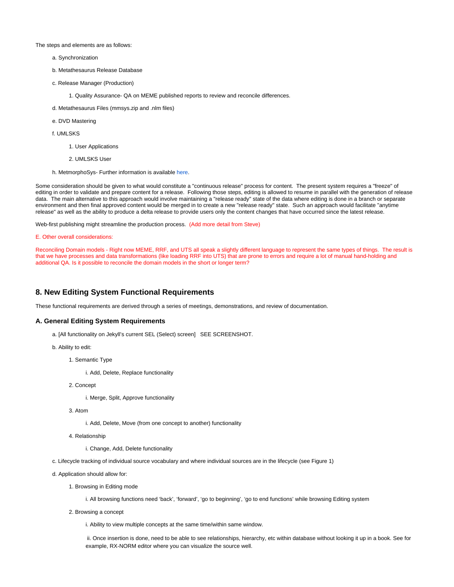The steps and elements are as follows:

- a. Synchronization
- b. Metathesaurus Release Database
- c. Release Manager (Production)
	- 1. Quality Assurance- QA on MEME published reports to review and reconcile differences.
- d. Metathesaurus Files (mmsys.zip and .nlm files)
- e. DVD Mastering
- f. UMLSKS
	- 1. User Applications
	- 2. UMLSKS User
- h. MetmorphoSys- Further information is available [here.](http://www.nlm.nih.gov/research/umls/implementation_resources/metamorphosys/)

Some consideration should be given to what would constitute a "continuous release" process for content. The present system requires a "freeze" of editing in order to validate and prepare content for a release. Following those steps, editing is allowed to resume in parallel with the generation of release data. The main alternative to this approach would involve maintaining a "release ready" state of the data where editing is done in a branch or separate environment and then final approved content would be merged in to create a new "release ready" state. Such an approach would facilitate "anytime release" as well as the ability to produce a delta release to provide users only the content changes that have occurred since the latest release.

Web-first publishing might streamline the production process. (Add more detail from Steve)

#### E. Other overall considerations:

Reconciling Domain models - Right now MEME, RRF, and UTS all speak a slightly different language to represent the same types of things. The result is that we have processes and data transformations (like loading RRF into UTS) that are prone to errors and require a lot of manual hand-holding and additional QA. Is it possible to reconcile the domain models in the short or longer term?

## <span id="page-5-0"></span>**8. New Editing System Functional Requirements**

These functional requirements are derived through a series of meetings, demonstrations, and review of documentation.

# <span id="page-5-1"></span>**A. General Editing System Requirements**

- a. [All functionality on Jekyll's current SEL (Select) screen] SEE SCREENSHOT.
- b. Ability to edit:
	- 1. Semantic Type
		- i. Add, Delete, Replace functionality
	- 2. Concept
		- i. Merge, Split, Approve functionality
	- 3. Atom
		- i. Add, Delete, Move (from one concept to another) functionality
	- 4. Relationship
		- i. Change, Add, Delete functionality
- c. Lifecycle tracking of individual source vocabulary and where individual sources are in the lifecycle (see Figure 1)
- d. Application should allow for:
	- 1. Browsing in Editing mode
		- i. All browsing functions need 'back', 'forward', 'go to beginning', 'go to end functions' while browsing Editing system
	- 2. Browsing a concept
		- i. Ability to view multiple concepts at the same time/within same window.
		- ii. Once insertion is done, need to be able to see relationships, hierarchy, etc within database without looking it up in a book. See for example, RX-NORM editor where you can visualize the source well.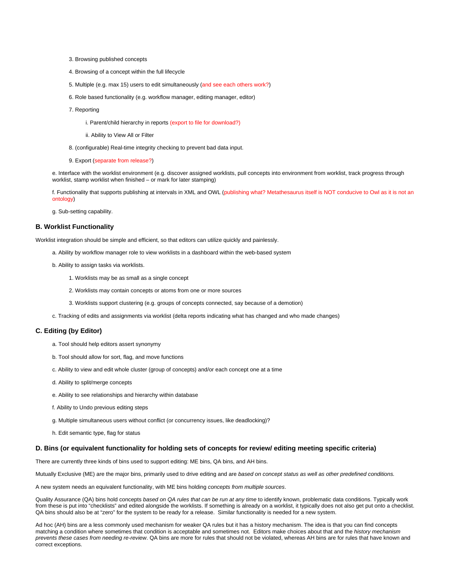- 3. Browsing published concepts
- 4. Browsing of a concept within the full lifecycle
- 5. Multiple (e.g. max 15) users to edit simultaneously (and see each others work?)
- 6. Role based functionality (e.g. workflow manager, editing manager, editor)
- 7. Reporting
	- i. Parent/child hierarchy in reports (export to file for download?)
	- ii. Ability to View All or Filter
- 8. (configurable) Real-time integrity checking to prevent bad data input.
- 9. Export (separate from release?)

e. Interface with the worklist environment (e.g. discover assigned worklists, pull concepts into environment from worklist, track progress through worklist, stamp worklist when finished – or mark for later stamping)

f. Functionality that supports publishing at intervals in XML and OWL (publishing what? Metathesaurus itself is NOT conducive to Owl as it is not an ontology)

g. Sub-setting capability.

#### <span id="page-6-0"></span>**B. Worklist Functionality**

Worklist integration should be simple and efficient, so that editors can utilize quickly and painlessly.

- a. Ability by workflow manager role to view worklists in a dashboard within the web-based system
- b. Ability to assign tasks via worklists.
	- 1. Worklists may be as small as a single concept
	- 2. Worklists may contain concepts or atoms from one or more sources
	- 3. Worklists support clustering (e.g. groups of concepts connected, say because of a demotion)

c. Tracking of edits and assignments via worklist (delta reports indicating what has changed and who made changes)

#### <span id="page-6-1"></span>**C. Editing (by Editor)**

- a. Tool should help editors assert synonymy
- b. Tool should allow for sort, flag, and move functions
- c. Ability to view and edit whole cluster (group of concepts) and/or each concept one at a time
- d. Ability to split/merge concepts
- e. Ability to see relationships and hierarchy within database
- f. Ability to Undo previous editing steps
- g. Multiple simultaneous users without conflict (or concurrency issues, like deadlocking)?
- h. Edit semantic type, flag for status

#### <span id="page-6-2"></span>**D. Bins (or equivalent functionality for holding sets of concepts for review/ editing meeting specific criteria)**

There are currently three kinds of bins used to support editing: ME bins, QA bins, and AH bins.

Mutually Exclusive (ME) are the major bins, primarily used to drive editing and are based on concept status as well as other predefined conditions.

A new system needs an equivalent functionality, with ME bins holding concepts from multiple sources.

Quality Assurance (QA) bins hold concepts based on QA rules that can be run at any time to identify known, problematic data conditions. Typically work from these is put into "checklists" and edited alongside the worklists. If something is already on a worklist, it typically does not also get put onto a checklist. QA bins should also be at "zero" for the system to be ready for a release. Similar functionality is needed for a new system.

Ad hoc (AH) bins are a less commonly used mechanism for weaker QA rules but it has a history mechanism. The idea is that you can find concepts matching a condition where sometimes that condition is acceptable and sometimes not. Editors make choices about that and the history mechanism prevents these cases from needing re-review. QA bins are more for rules that should not be violated, whereas AH bins are for rules that have known and correct exceptions.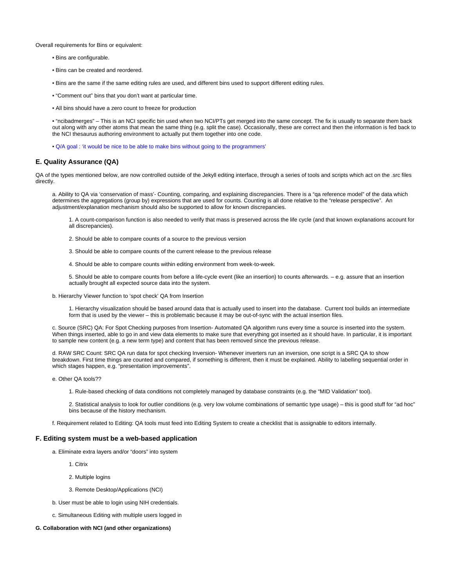Overall requirements for Bins or equivalent:

- Bins are configurable.
- Bins can be created and reordered.
- Bins are the same if the same editing rules are used, and different bins used to support different editing rules.
- "Comment out" bins that you don't want at particular time.
- All bins should have a zero count to freeze for production

• "ncibadmerges" – This is an NCI specific bin used when two NCI/PTs get merged into the same concept. The fix is usually to separate them back out along with any other atoms that mean the same thing (e.g. split the case). Occasionally, these are correct and then the information is fed back to the NCI thesaurus authoring environment to actually put them together into one code.

• Q/A goal : 'it would be nice to be able to make bins without going to the programmers'

#### <span id="page-7-0"></span>**E. Quality Assurance (QA)**

QA of the types mentioned below, are now controlled outside of the Jekyll editing interface, through a series of tools and scripts which act on the .src files directly.

a. Ability to QA via 'conservation of mass'- Counting, comparing, and explaining discrepancies. There is a "qa reference model" of the data which determines the aggregations (group by) expressions that are used for counts. Counting is all done relative to the "release perspective". An adjustment/explanation mechanism should also be supported to allow for known discrepancies.

1. A count-comparison function is also needed to verify that mass is preserved across the life cycle (and that known explanations account for all discrepancies).

- 2. Should be able to compare counts of a source to the previous version
- 3. Should be able to compare counts of the current release to the previous release
- 4. Should be able to compare counts within editing environment from week-to-week.

5. Should be able to compare counts from before a life-cycle event (like an insertion) to counts afterwards. – e.g. assure that an insertion actually brought all expected source data into the system.

b. Hierarchy Viewer function to 'spot check' QA from Insertion

1. Hierarchy visualization should be based around data that is actually used to insert into the database. Current tool builds an intermediate form that is used by the viewer – this is problematic because it may be out-of-sync with the actual insertion files.

c. Source (SRC) QA: For Spot Checking purposes from Insertion- Automated QA algorithm runs every time a source is inserted into the system. When things inserted, able to go in and view data elements to make sure that everything got inserted as it should have. In particular, it is important to sample new content (e.g. a new term type) and content that has been removed since the previous release.

d. RAW SRC Count: SRC QA run data for spot checking Inversion- Whenever inverters run an inversion, one script is a SRC QA to show breakdown. First time things are counted and compared, if something is different, then it must be explained. Ability to labelling sequential order in which stages happen, e.g. "presentation improvements".

- e. Other QA tools??
	- 1. Rule-based checking of data conditions not completely managed by database constraints (e.g. the "MID Validation" tool).

2. Statistical analysis to look for outlier conditions (e.g. very low volume combinations of semantic type usage) – this is good stuff for "ad hoc" bins because of the history mechanism.

f. Requirement related to Editing: QA tools must feed into Editing System to create a checklist that is assignable to editors internally.

#### <span id="page-7-1"></span>**F. Editing system must be a web-based application**

a. Eliminate extra layers and/or "doors" into system

1. Citrix

- 2. Multiple logins
- 3. Remote Desktop/Applications (NCI)
- b. User must be able to login using NIH credentials.
- c. Simultaneous Editing with multiple users logged in

#### **G. Collaboration with NCI (and other organizations)**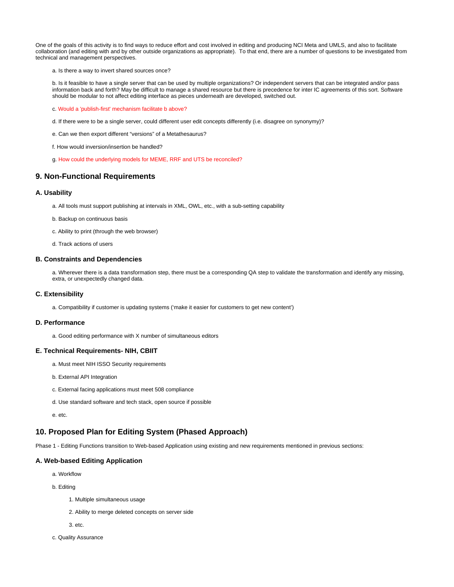One of the goals of this activity is to find ways to reduce effort and cost involved in editing and producing NCI Meta and UMLS, and also to facilitate collaboration (and editing with and by other outside organizations as appropriate). To that end, there are a number of questions to be investigated from technical and management perspectives.

a. Is there a way to invert shared sources once?

b. Is it feasible to have a single server that can be used by multiple organizations? Or independent servers that can be integrated and/or pass information back and forth? May be difficult to manage a shared resource but there is precedence for inter IC agreements of this sort. Software should be modular to not affect editing interface as pieces underneath are developed, switched out.

- c. Would a 'publish-first' mechanism facilitate b above?
- d. If there were to be a single server, could different user edit concepts differently (i.e. disagree on synonymy)?
- e. Can we then export different "versions" of a Metathesaurus?
- f. How would inversion/insertion be handled?
- g. How could the underlying models for MEME, RRF and UTS be reconciled?

# <span id="page-8-0"></span>**9. Non-Functional Requirements**

#### <span id="page-8-1"></span>**A. Usability**

- a. All tools must support publishing at intervals in XML, OWL, etc., with a sub-setting capability
- b. Backup on continuous basis
- c. Ability to print (through the web browser)
- d. Track actions of users

#### <span id="page-8-2"></span>**B. Constraints and Dependencies**

a. Wherever there is a data transformation step, there must be a corresponding QA step to validate the transformation and identify any missing, extra, or unexpectedly changed data.

#### <span id="page-8-3"></span>**C. Extensibility**

a. Compatibility if customer is updating systems ('make it easier for customers to get new content')

#### <span id="page-8-4"></span>**D. Performance**

a. Good editing performance with X number of simultaneous editors

#### <span id="page-8-5"></span>**E. Technical Requirements- NIH, CBIIT**

- a. Must meet NIH ISSO Security requirements
- b. External API Integration
- c. External facing applications must meet 508 compliance
- d. Use standard software and tech stack, open source if possible
- e. etc.

# <span id="page-8-6"></span>**10. Proposed Plan for Editing System (Phased Approach)**

Phase 1 - Editing Functions transition to Web-based Application using existing and new requirements mentioned in previous sections:

#### <span id="page-8-7"></span>**A. Web-based Editing Application**

- a. Workflow
- b. Editing
	- 1. Multiple simultaneous usage
	- 2. Ability to merge deleted concepts on server side
	- 3. etc.
- c. Quality Assurance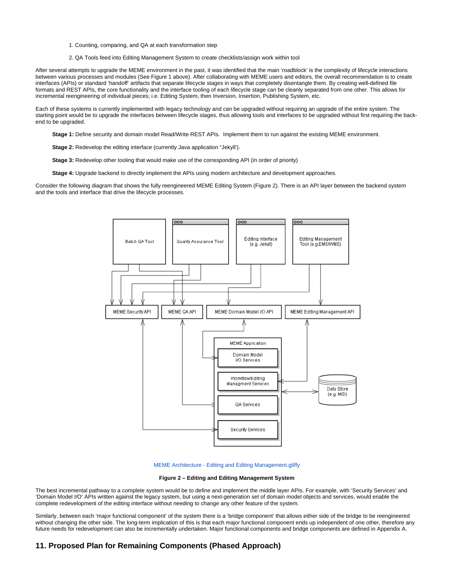- 1. Counting, comparing, and QA at each transformation step
- 2. QA Tools feed into Editing Management System to create checklists/assign work within tool

After several attempts to upgrade the MEME environment in the past, it was identified that the main 'roadblock' is the complexity of lifecycle interactions between various processes and modules (See Figure 1 above). After collaborating with MEME users and editors, the overall recommendation is to create interfaces (APIs) or standard 'handoff' artifacts that separate lifecycle stages in ways that completely disentangle them. By creating well-defined file formats and REST APIs, the core functionality and the interface tooling of each lifecycle stage can be cleanly separated from one other. This allows for incremental reengineering of individual pieces; i.e. Editing System, then Inversion, Insertion, Publishing System, etc.

Each of these systems is currently implemented with legacy technology and can be upgraded without requiring an upgrade of the entire system. The starting point would be to upgrade the interfaces between lifecycle stages, thus allowing tools and interfaces to be upgraded without first requiring the backend to be upgraded.

**Stage 1:** Define security and domain model Read/Write REST APIs. Implement them to run against the existing MEME environment.

**Stage 2:** Redevelop the editing interface (currently Java application "Jekyll').

**Stage 3:** Redevelop other tooling that would make use of the corresponding API (in order of priority)

**Stage 4:** Upgrade backend to directly implement the APIs using modern architecture and development approaches.

Consider the following diagram that shows the fully reengineered MEME Editing System (Figure 2). There is an API layer between the backend system and the tools and interface that drive the lifecycle processes.



#### [MEME Architecture - Editing and Editing Management.gliffy](https://wiki.nci.nih.gov/download/attachments/265716257/MEME%20Architecture%20-%20Editing%20and%20Editing%20Management.gliffy?version=1&modificationDate=1435089620000&api=v2)

**Figure 2 – Editing and Editing Management System**

The best incremental pathway to a complete system would be to define and implement the middle layer APIs. For example, with 'Security Services' and 'Domain Model I/O' APIs written against the legacy system, but using a next-generation set of domain model objects and services, would enable the complete redevelopment of the editing interface without needing to change any other feature of the system.

Similarly, between each 'major functional component' of the system there is a 'bridge component' that allows either side of the bridge to be reengineered without changing the other side. The long-term implication of this is that each major functional component ends up independent of one other, therefore any future needs for redevelopment can also be incrementally undertaken. Major functional components and bridge components are defined in Appendix A.

# <span id="page-9-0"></span>**11. Proposed Plan for Remaining Components (Phased Approach)**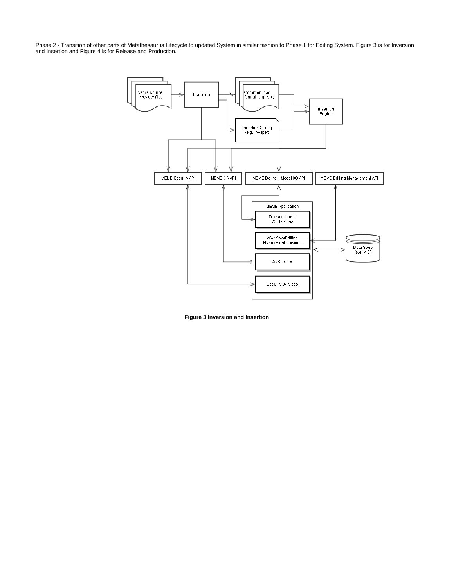Phase 2 - Transition of other parts of Metathesaurus Lifecycle to updated System in similar fashion to Phase 1 for Editing System. Figure 3 is for Inversion and Insertion and Figure 4 is for Release and Production.



**Figure 3 Inversion and Insertion**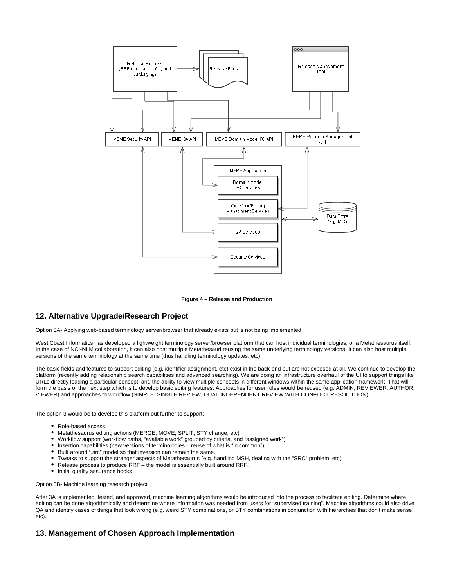

#### **Figure 4 – Release and Production**

# <span id="page-11-0"></span>**12. Alternative Upgrade/Research Project**

Option 3A- Applying web-based terminology server/browser that already exists but is not being implemented

West Coast Informatics has developed a lightweight terminology server/browser platform that can host individual terminologies, or a Metathesaurus itself. In the case of NCI-NLM collaboration, it can also host multiple Metathesauri reusing the same underlying terminology versions. It can also host multiple versions of the same terminology at the same time (thus handling terminology updates, etc).

The basic fields and features to support editing (e.g. identifier assignment, etc) exist in the back-end but are not exposed at all. We continue to develop the platform (recently adding relationship search capabilities and advanced searching). We are doing an infrastructure overhaul of the UI to support things like URLs directly loading a particular concept, and the ability to view multiple concepts in different windows within the same application framework. That will form the basis of the next step which is to develop basic editing features. Approaches for user roles would be reused (e.g. ADMIN, REVIEWER, AUTHOR, VIEWER) and approaches to workflow (SIMPLE, SINGLE REVIEW, DUAL INDEPENDENT REVIEW WITH CONFLICT RESOLUTION).

The option 3 would be to develop this platform out further to support:

- Role-based access
- Metathesaurus editing actions (MERGE, MOVE, SPLIT, STY change, etc)
- Workflow support (workflow paths, "available work" grouped by criteria, and "assigned work")
- Insertion capabilities (new versions of terminologies reuse of what is "in common")
- Built around ".src" model so that inversion can remain the same.
- Tweaks to support the stranger aspects of Metathesaurus (e.g. handling MSH, dealing with the "SRC" problem, etc).
- Release process to produce RRF the model is essentially built around RRF.
- Initial quality assurance hooks

#### Option 3B- Machine learning research project

After 3A is implemented, tested, and approved, machine learning algorithms would be introduced into the process to facilitate editing. Determine where editing can be done algorithmically and determine where information was needed from users for "supervised training". Machine algorithms could also drive QA and identify cases of things that look wrong (e.g. weird STY combinations, or STY combinations in conjunction with hierarchies that don't make sense, etc).

# <span id="page-11-2"></span><span id="page-11-1"></span>**13. Management of Chosen Approach Implementation**